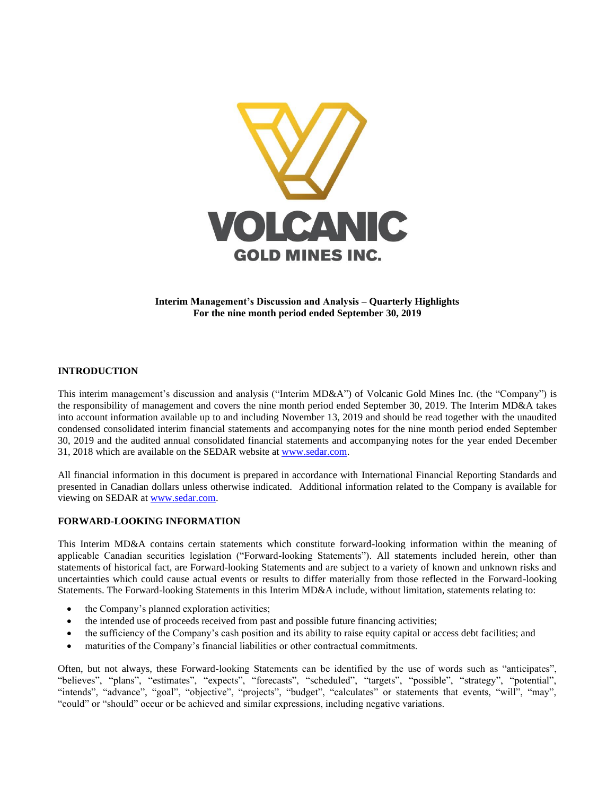

**Interim Management's Discussion and Analysis – Quarterly Highlights For the nine month period ended September 30, 2019**

#### **INTRODUCTION**

This interim management's discussion and analysis ("Interim MD&A") of Volcanic Gold Mines Inc. (the "Company") is the responsibility of management and covers the nine month period ended September 30, 2019. The Interim MD&A takes into account information available up to and including November 13, 2019 and should be read together with the unaudited condensed consolidated interim financial statements and accompanying notes for the nine month period ended September 30, 2019 and the audited annual consolidated financial statements and accompanying notes for the year ended December 31, 2018 which are available on the SEDAR website a[t www.sedar.com.](http://www.sedar.com/)

All financial information in this document is prepared in accordance with International Financial Reporting Standards and presented in Canadian dollars unless otherwise indicated. Additional information related to the Company is available for viewing on SEDAR at [www.sedar.com.](http://www.sedar.com/)

#### **FORWARD-LOOKING INFORMATION**

This Interim MD&A contains certain statements which constitute forward-looking information within the meaning of applicable Canadian securities legislation ("Forward-looking Statements"). All statements included herein, other than statements of historical fact, are Forward-looking Statements and are subject to a variety of known and unknown risks and uncertainties which could cause actual events or results to differ materially from those reflected in the Forward-looking Statements. The Forward-looking Statements in this Interim MD&A include, without limitation, statements relating to:

- the Company's planned exploration activities;
- the intended use of proceeds received from past and possible future financing activities;
- the sufficiency of the Company's cash position and its ability to raise equity capital or access debt facilities; and
- maturities of the Company's financial liabilities or other contractual commitments.

Often, but not always, these Forward-looking Statements can be identified by the use of words such as "anticipates", "believes", "plans", "estimates", "expects", "forecasts", "scheduled", "targets", "possible", "strategy", "potential", "intends", "advance", "goal", "objective", "projects", "budget", "calculates" or statements that events, "will", "may", "could" or "should" occur or be achieved and similar expressions, including negative variations.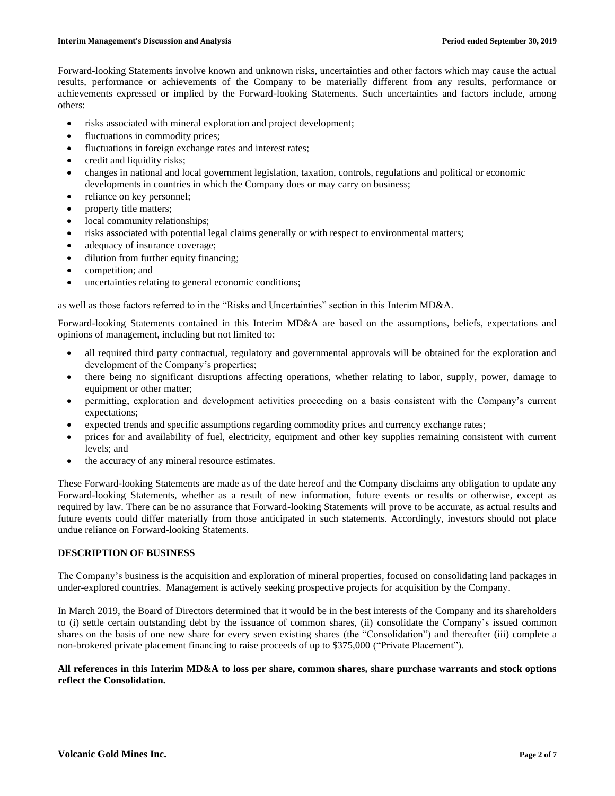Forward-looking Statements involve known and unknown risks, uncertainties and other factors which may cause the actual results, performance or achievements of the Company to be materially different from any results, performance or achievements expressed or implied by the Forward-looking Statements. Such uncertainties and factors include, among others:

- risks associated with mineral exploration and project development;
- fluctuations in commodity prices;
- fluctuations in foreign exchange rates and interest rates;
- credit and liquidity risks;
- changes in national and local government legislation, taxation, controls, regulations and political or economic developments in countries in which the Company does or may carry on business;
- reliance on key personnel;
- property title matters;
- local community relationships;
- risks associated with potential legal claims generally or with respect to environmental matters;
- adequacy of insurance coverage;
- dilution from further equity financing;
- competition; and
- uncertainties relating to general economic conditions;

as well as those factors referred to in the "Risks and Uncertainties" section in this Interim MD&A.

Forward-looking Statements contained in this Interim MD&A are based on the assumptions, beliefs, expectations and opinions of management, including but not limited to:

- all required third party contractual, regulatory and governmental approvals will be obtained for the exploration and development of the Company's properties;
- there being no significant disruptions affecting operations, whether relating to labor, supply, power, damage to equipment or other matter;
- permitting, exploration and development activities proceeding on a basis consistent with the Company's current expectations;
- expected trends and specific assumptions regarding commodity prices and currency exchange rates;
- prices for and availability of fuel, electricity, equipment and other key supplies remaining consistent with current levels; and
- the accuracy of any mineral resource estimates.

These Forward-looking Statements are made as of the date hereof and the Company disclaims any obligation to update any Forward-looking Statements, whether as a result of new information, future events or results or otherwise, except as required by law. There can be no assurance that Forward-looking Statements will prove to be accurate, as actual results and future events could differ materially from those anticipated in such statements. Accordingly, investors should not place undue reliance on Forward-looking Statements.

# **DESCRIPTION OF BUSINESS**

The Company's business is the acquisition and exploration of mineral properties, focused on consolidating land packages in under-explored countries. Management is actively seeking prospective projects for acquisition by the Company.

In March 2019, the Board of Directors determined that it would be in the best interests of the Company and its shareholders to (i) settle certain outstanding debt by the issuance of common shares, (ii) consolidate the Company's issued common shares on the basis of one new share for every seven existing shares (the "Consolidation") and thereafter (iii) complete a non-brokered private placement financing to raise proceeds of up to \$375,000 ("Private Placement").

#### **All references in this Interim MD&A to loss per share, common shares, share purchase warrants and stock options reflect the Consolidation.**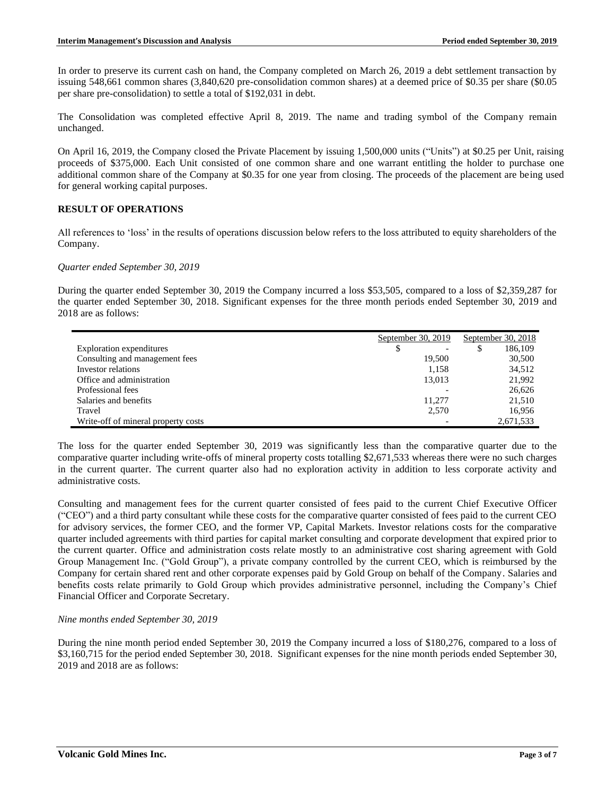In order to preserve its current cash on hand, the Company completed on March 26, 2019 a debt settlement transaction by issuing 548,661 common shares (3,840,620 pre-consolidation common shares) at a deemed price of \$0.35 per share (\$0.05 per share pre-consolidation) to settle a total of \$192,031 in debt.

The Consolidation was completed effective April 8, 2019. The name and trading symbol of the Company remain unchanged.

On April 16, 2019, the Company closed the Private Placement by issuing 1,500,000 units ("Units") at \$0.25 per Unit, raising proceeds of \$375,000. Each Unit consisted of one common share and one warrant entitling the holder to purchase one additional common share of the Company at \$0.35 for one year from closing. The proceeds of the placement are being used for general working capital purposes.

## **RESULT OF OPERATIONS**

All references to 'loss' in the results of operations discussion below refers to the loss attributed to equity shareholders of the Company.

#### *Quarter ended September 30, 2019*

During the quarter ended September 30, 2019 the Company incurred a loss \$53,505, compared to a loss of \$2,359,287 for the quarter ended September 30, 2018. Significant expenses for the three month periods ended September 30, 2019 and 2018 are as follows:

|                                     | September 30, 2019 |   | September 30, 2018 |
|-------------------------------------|--------------------|---|--------------------|
| Exploration expenditures            |                    | S | 186,109            |
| Consulting and management fees      | 19.500             |   | 30,500             |
| Investor relations                  | 1.158              |   | 34,512             |
| Office and administration           | 13,013             |   | 21,992             |
| Professional fees                   |                    |   | 26,626             |
| Salaries and benefits               | 11.277             |   | 21,510             |
| Travel                              | 2,570              |   | 16.956             |
| Write-off of mineral property costs |                    |   | 2,671,533          |

The loss for the quarter ended September 30, 2019 was significantly less than the comparative quarter due to the comparative quarter including write-offs of mineral property costs totalling \$2,671,533 whereas there were no such charges in the current quarter. The current quarter also had no exploration activity in addition to less corporate activity and administrative costs.

Consulting and management fees for the current quarter consisted of fees paid to the current Chief Executive Officer ("CEO") and a third party consultant while these costs for the comparative quarter consisted of fees paid to the current CEO for advisory services, the former CEO, and the former VP, Capital Markets. Investor relations costs for the comparative quarter included agreements with third parties for capital market consulting and corporate development that expired prior to the current quarter. Office and administration costs relate mostly to an administrative cost sharing agreement with Gold Group Management Inc. ("Gold Group"), a private company controlled by the current CEO, which is reimbursed by the Company for certain shared rent and other corporate expenses paid by Gold Group on behalf of the Company. Salaries and benefits costs relate primarily to Gold Group which provides administrative personnel, including the Company's Chief Financial Officer and Corporate Secretary.

#### *Nine months ended September 30, 2019*

During the nine month period ended September 30, 2019 the Company incurred a loss of \$180,276, compared to a loss of \$3,160,715 for the period ended September 30, 2018. Significant expenses for the nine month periods ended September 30, 2019 and 2018 are as follows: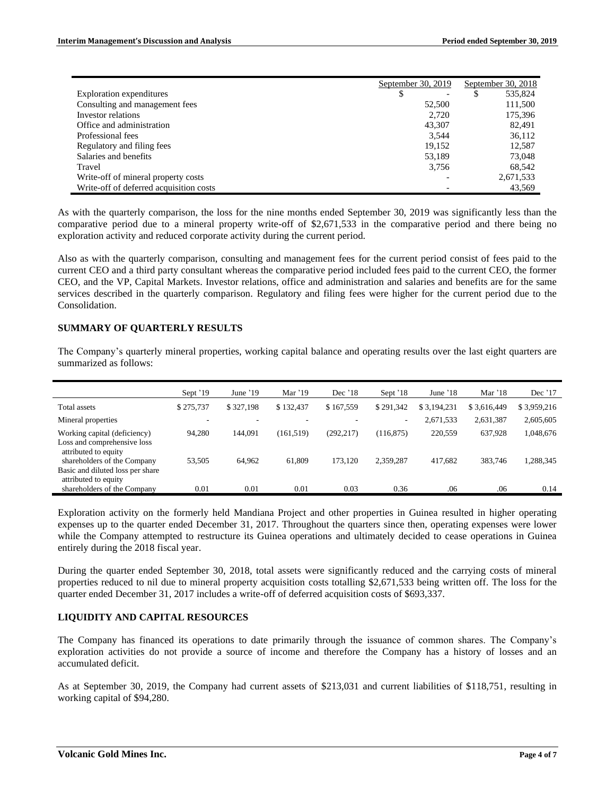|                                         | September 30, 2019 | September 30, 2018 |
|-----------------------------------------|--------------------|--------------------|
| Exploration expenditures                | \$                 | 535,824<br>\$      |
| Consulting and management fees          | 52,500             | 111,500            |
| Investor relations                      | 2.720              | 175,396            |
| Office and administration               | 43,307             | 82.491             |
| Professional fees                       | 3.544              | 36,112             |
| Regulatory and filing fees              | 19.152             | 12,587             |
| Salaries and benefits                   | 53,189             | 73,048             |
| Travel                                  | 3,756              | 68,542             |
| Write-off of mineral property costs     |                    | 2,671,533          |
| Write-off of deferred acquisition costs |                    | 43.569             |

As with the quarterly comparison, the loss for the nine months ended September 30, 2019 was significantly less than the comparative period due to a mineral property write-off of \$2,671,533 in the comparative period and there being no exploration activity and reduced corporate activity during the current period.

Also as with the quarterly comparison, consulting and management fees for the current period consist of fees paid to the current CEO and a third party consultant whereas the comparative period included fees paid to the current CEO, the former CEO, and the VP, Capital Markets. Investor relations, office and administration and salaries and benefits are for the same services described in the quarterly comparison. Regulatory and filing fees were higher for the current period due to the Consolidation.

## **SUMMARY OF QUARTERLY RESULTS**

The Company's quarterly mineral properties, working capital balance and operating results over the last eight quarters are summarized as follows:

|                                                                                         | Sept $'19$ | June $'19$ | Mar '19    | Dec $'18$  | Sept '18   | June $18$   | Mar $'18$   | Dec $'17$   |
|-----------------------------------------------------------------------------------------|------------|------------|------------|------------|------------|-------------|-------------|-------------|
| Total assets                                                                            | \$275,737  | \$327,198  | \$132,437  | \$167,559  | \$291.342  | \$3,194,231 | \$3,616,449 | \$3,959,216 |
| Mineral properties                                                                      |            |            |            |            | $\sim$     | 2,671,533   | 2,631,387   | 2,605,605   |
| Working capital (deficiency)<br>Loss and comprehensive loss<br>attributed to equity     | 94,280     | 144,091    | (161, 519) | (292, 217) | (116, 875) | 220,559     | 637,928     | 1,048,676   |
| shareholders of the Company<br>Basic and diluted loss per share<br>attributed to equity | 53,505     | 64,962     | 61,809     | 173.120    | 2,359,287  | 417,682     | 383,746     | 1,288,345   |
| shareholders of the Company                                                             | 0.01       | 0.01       | 0.01       | 0.03       | 0.36       | .06         | .06         | 0.14        |

Exploration activity on the formerly held Mandiana Project and other properties in Guinea resulted in higher operating expenses up to the quarter ended December 31, 2017. Throughout the quarters since then, operating expenses were lower while the Company attempted to restructure its Guinea operations and ultimately decided to cease operations in Guinea entirely during the 2018 fiscal year.

During the quarter ended September 30, 2018, total assets were significantly reduced and the carrying costs of mineral properties reduced to nil due to mineral property acquisition costs totalling \$2,671,533 being written off. The loss for the quarter ended December 31, 2017 includes a write-off of deferred acquisition costs of \$693,337.

## **LIQUIDITY AND CAPITAL RESOURCES**

The Company has financed its operations to date primarily through the issuance of common shares. The Company's exploration activities do not provide a source of income and therefore the Company has a history of losses and an accumulated deficit.

As at September 30, 2019, the Company had current assets of \$213,031 and current liabilities of \$118,751, resulting in working capital of \$94,280.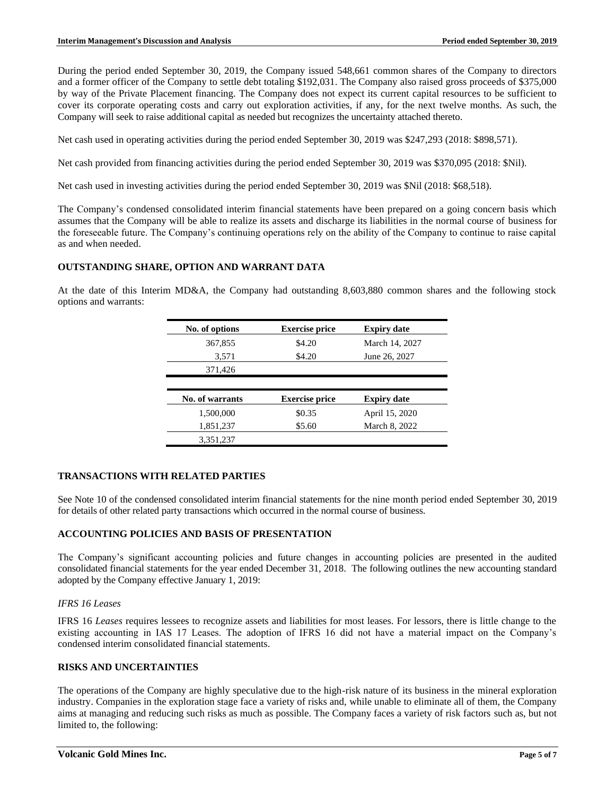During the period ended September 30, 2019, the Company issued 548,661 common shares of the Company to directors and a former officer of the Company to settle debt totaling \$192,031. The Company also raised gross proceeds of \$375,000 by way of the Private Placement financing. The Company does not expect its current capital resources to be sufficient to cover its corporate operating costs and carry out exploration activities, if any, for the next twelve months. As such, the Company will seek to raise additional capital as needed but recognizes the uncertainty attached thereto.

Net cash used in operating activities during the period ended September 30, 2019 was \$247,293 (2018: \$898,571).

Net cash provided from financing activities during the period ended September 30, 2019 was \$370,095 (2018: \$Nil).

Net cash used in investing activities during the period ended September 30, 2019 was \$Nil (2018: \$68,518).

The Company's condensed consolidated interim financial statements have been prepared on a going concern basis which assumes that the Company will be able to realize its assets and discharge its liabilities in the normal course of business for the foreseeable future. The Company's continuing operations rely on the ability of the Company to continue to raise capital as and when needed.

## **OUTSTANDING SHARE, OPTION AND WARRANT DATA**

At the date of this Interim MD&A, the Company had outstanding 8,603,880 common shares and the following stock options and warrants:

| No. of options  | <b>Exercise price</b> | <b>Expiry date</b> |
|-----------------|-----------------------|--------------------|
| 367,855         | \$4.20                | March 14, 2027     |
| 3,571           | \$4.20                | June 26, 2027      |
| 371,426         |                       |                    |
|                 |                       |                    |
|                 |                       |                    |
| No. of warrants | <b>Exercise price</b> | <b>Expiry date</b> |
| 1,500,000       | \$0.35                | April 15, 2020     |
| 1,851,237       | \$5.60                | March 8, 2022      |

## **TRANSACTIONS WITH RELATED PARTIES**

See Note 10 of the condensed consolidated interim financial statements for the nine month period ended September 30, 2019 for details of other related party transactions which occurred in the normal course of business.

## **ACCOUNTING POLICIES AND BASIS OF PRESENTATION**

The Company's significant accounting policies and future changes in accounting policies are presented in the audited consolidated financial statements for the year ended December 31, 2018. The following outlines the new accounting standard adopted by the Company effective January 1, 2019:

## *IFRS 16 Leases*

IFRS 16 *Leases* requires lessees to recognize assets and liabilities for most leases. For lessors, there is little change to the existing accounting in IAS 17 Leases. The adoption of IFRS 16 did not have a material impact on the Company's condensed interim consolidated financial statements.

#### **RISKS AND UNCERTAINTIES**

The operations of the Company are highly speculative due to the high-risk nature of its business in the mineral exploration industry. Companies in the exploration stage face a variety of risks and, while unable to eliminate all of them, the Company aims at managing and reducing such risks as much as possible. The Company faces a variety of risk factors such as, but not limited to, the following: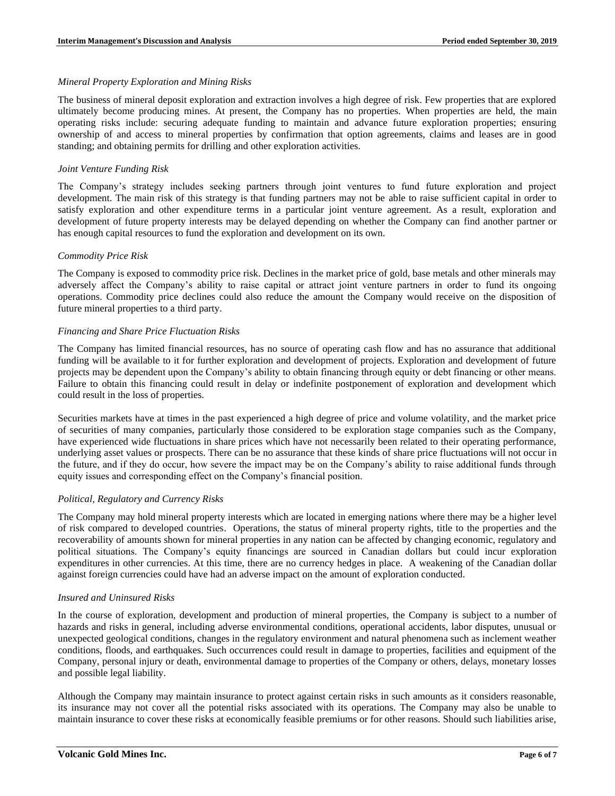#### *Mineral Property Exploration and Mining Risks*

The business of mineral deposit exploration and extraction involves a high degree of risk. Few properties that are explored ultimately become producing mines. At present, the Company has no properties. When properties are held, the main operating risks include: securing adequate funding to maintain and advance future exploration properties; ensuring ownership of and access to mineral properties by confirmation that option agreements, claims and leases are in good standing; and obtaining permits for drilling and other exploration activities.

## *Joint Venture Funding Risk*

The Company's strategy includes seeking partners through joint ventures to fund future exploration and project development. The main risk of this strategy is that funding partners may not be able to raise sufficient capital in order to satisfy exploration and other expenditure terms in a particular joint venture agreement. As a result, exploration and development of future property interests may be delayed depending on whether the Company can find another partner or has enough capital resources to fund the exploration and development on its own.

#### *Commodity Price Risk*

The Company is exposed to commodity price risk. Declines in the market price of gold, base metals and other minerals may adversely affect the Company's ability to raise capital or attract joint venture partners in order to fund its ongoing operations. Commodity price declines could also reduce the amount the Company would receive on the disposition of future mineral properties to a third party.

#### *Financing and Share Price Fluctuation Risks*

The Company has limited financial resources, has no source of operating cash flow and has no assurance that additional funding will be available to it for further exploration and development of projects. Exploration and development of future projects may be dependent upon the Company's ability to obtain financing through equity or debt financing or other means. Failure to obtain this financing could result in delay or indefinite postponement of exploration and development which could result in the loss of properties.

Securities markets have at times in the past experienced a high degree of price and volume volatility, and the market price of securities of many companies, particularly those considered to be exploration stage companies such as the Company, have experienced wide fluctuations in share prices which have not necessarily been related to their operating performance, underlying asset values or prospects. There can be no assurance that these kinds of share price fluctuations will not occur in the future, and if they do occur, how severe the impact may be on the Company's ability to raise additional funds through equity issues and corresponding effect on the Company's financial position.

## *Political, Regulatory and Currency Risks*

The Company may hold mineral property interests which are located in emerging nations where there may be a higher level of risk compared to developed countries. Operations, the status of mineral property rights, title to the properties and the recoverability of amounts shown for mineral properties in any nation can be affected by changing economic, regulatory and political situations. The Company's equity financings are sourced in Canadian dollars but could incur exploration expenditures in other currencies. At this time, there are no currency hedges in place. A weakening of the Canadian dollar against foreign currencies could have had an adverse impact on the amount of exploration conducted.

## *Insured and Uninsured Risks*

In the course of exploration, development and production of mineral properties, the Company is subject to a number of hazards and risks in general, including adverse environmental conditions, operational accidents, labor disputes, unusual or unexpected geological conditions, changes in the regulatory environment and natural phenomena such as inclement weather conditions, floods, and earthquakes. Such occurrences could result in damage to properties, facilities and equipment of the Company, personal injury or death, environmental damage to properties of the Company or others, delays, monetary losses and possible legal liability.

Although the Company may maintain insurance to protect against certain risks in such amounts as it considers reasonable, its insurance may not cover all the potential risks associated with its operations. The Company may also be unable to maintain insurance to cover these risks at economically feasible premiums or for other reasons. Should such liabilities arise,